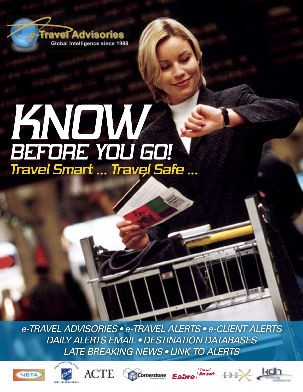

# *Travel Smart … Travel Safe … Know before you go!*

*e-Travel Advisories • e-Travel Alerts • e-Client Alerts Daily Alerts email • Destination Databases Late Breaking News • Link to Alerts*











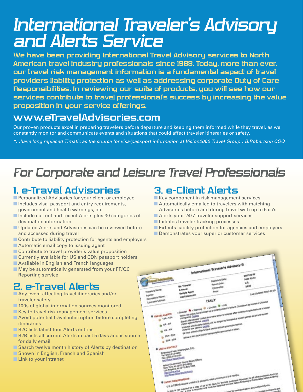## *International Traveler's Advisory and Alerts Service*

**We have been providing International Travel Advisory services to North American travel industry professionals since 1988. Today, more than ever, our travel risk management information is a fundamental aspect of travel providers liability protection as well as addressing corporate Duty of Care Responsibilities. In reviewing our suite of products, you will see how our services contribute to travel professional's success by increasing the value proposition in your service offerings.** 

#### **www.eTravelAdvisories.com**

Our proven products excel in preparing travelers before departure and keeping them informed while they travel, as we constantly monitor and communicate events and situations that could affect traveler itineraries or safety.

*"…have long replaced Timatic as the source for visa/passport information at Vision2000 Travel Group…B.Robertson COO*

## *For Corporate and Leisure Travel Professionals*

### **1. e-Travel Advisories**

- Personalized Advisories for your client or employee
- Includes visa, passport and entry requirements, government and health warnings, etc
- Include current and recent Alerts plus 30 categories of destination information
- Updated Alerts and Advisories can be reviewed before and accessed during travel
- Contribute to liability protection for agents and employers
- Automatic email copy to issuing agent
- Contribute to travel provider's value proposition
- Currently available for US and CDN passport holders
- Available in English and French languages
- May be automatically generated from your FF/QC Reporting service

## **2. e-Travel Alerts**

- Any event affecting travel itineraries and/or traveler safety
- 100s of global information sources monitored
- Key to travel risk management services
- Avoid potential travel interruption before completing itineraries
- B2C lists latest four Alerts entries
- B2B lists all current Alerts in past 5 days and is source for daily email
- $\blacksquare$  Search twelve month history of Alerts by destination
- Shown in English, French and Spanish
- $\Box$  Link to your intranet

## **3. e-Client Alerts**

- Key component in risk management services
- Automatically emailed to travelers with matching Advisories before and during travel with up to 5 cc's
- Alerts your 24/7 traveler support services
- Initiates traveler tracking processes
- Extents liability protection for agencies and employers
- Demonstrates your superior customer services

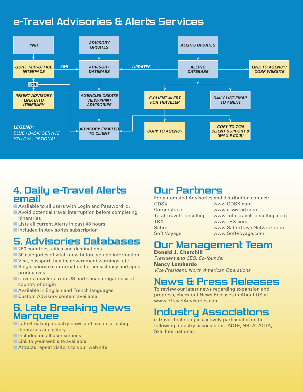## **e-Travel Advisories & Alerts Services**



#### **4. Daily e-Travel Alerts email**

- Available to all users with Login and Password id.
- Avoid potential travel interruption before completing itineraries
- Lists all current Alerts in past 48 hours
- Included in Advisories subscription

## **5. Advisories Databases**

- 260 countries, cities and destinations
- 30 categories of vital know before you go information
- Visa, passport, health, government warnings, etc
- Single source of information for consistency and agent productivity
- Covers travelers from US and Canada regardless of country of origin
- Available in English and French languages
- Custom Advisory content available

#### **6. Late Breaking News Marquee**

- Late Breaking industry news and events affecting itineraries and safety
- Included on all user screens
- $\blacksquare$  Link to your web site available
- $\blacksquare$  Attracts repeat visitors to your web site

### **Our Partners**

For automated Advisories and distribution contact: GDSX www.GDSX.com Cornerstone www.ciswired.com Total Travel Consulting www.TotalTravelConsulting.com TRX www.TRX.com Sabre www.SabreTravelNetwork.com Soft Voyage www.SoftVoyage.com

## **Our Management Team**

Donald J. Churchill *President and CEO, Co-founder*  Nancy Lombardo

*Vice President, North American Operations*

#### **News & Press Releases**

To review our latest news regarding expansion and progress, check out News Releases in About US at www.eTravelAdvisories.com.

## **Industry Associations**

e-Travel Technologies actively participates in the following industry associations: ACTE, NBTA, ACTA, Skal International.